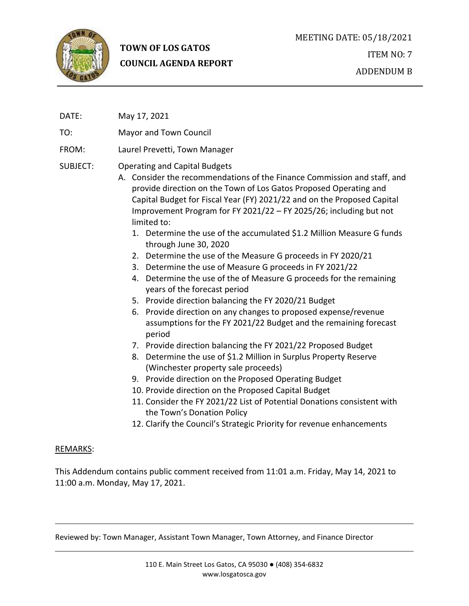

# **TOWN OF LOS GATOS COUNCIL AGENDA REPORT**

DATE: May 17, 2021

TO: Mayor and Town Council

## FROM: Laurel Prevetti, Town Manager

### SUBJECT: Operating and Capital Budgets

- A. Consider the recommendations of the Finance Commission and staff, and provide direction on the Town of Los Gatos Proposed Operating and Capital Budget for Fiscal Year (FY) 2021/22 and on the Proposed Capital Improvement Program for FY 2021/22 – FY 2025/26; including but not limited to:
	- 1. Determine the use of the accumulated \$1.2 Million Measure G funds through June 30, 2020
	- 2. Determine the use of the Measure G proceeds in FY 2020/21
	- 3. Determine the use of Measure G proceeds in FY 2021/22
	- 4. Determine the use of the of Measure G proceeds for the remaining years of the forecast period
	- 5. Provide direction balancing the FY 2020/21 Budget
	- 6. Provide direction on any changes to proposed expense/revenue assumptions for the FY 2021/22 Budget and the remaining forecast period
	- 7. Provide direction balancing the FY 2021/22 Proposed Budget
	- 8. Determine the use of \$1.2 Million in Surplus Property Reserve (Winchester property sale proceeds)
	- 9. Provide direction on the Proposed Operating Budget
	- 10. Provide direction on the Proposed Capital Budget
	- 11. Consider the FY 2021/22 List of Potential Donations consistent with the Town's Donation Policy
	- 12. Clarify the Council's Strategic Priority for revenue enhancements

### REMARKS:

This Addendum contains public comment received from 11:01 a.m. Friday, May 14, 2021 to 11:00 a.m. Monday, May 17, 2021.

Reviewed by: Town Manager, Assistant Town Manager, Town Attorney, and Finance Director